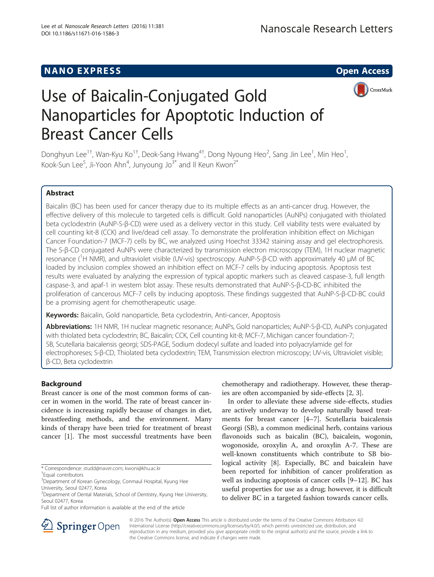# **NANO EXPRESS CONTROL**



# Use of Baicalin-Conjugated Gold Nanoparticles for Apoptotic Induction of Breast Cancer Cells

Donghyun Lee<sup>1†</sup>, Wan-Kyu Ko<sup>1†</sup>, Deok-Sang Hwang<sup>4†</sup>, Dong Nyoung Heo<sup>2</sup>, Sang Jin Lee<sup>1</sup>, Min Heo<sup>1</sup> , Kook-Sun Lee<sup>5</sup>, Ji-Yoon Ahn<sup>4</sup>, Junyoung Jo $^{3^*}$  and Il Keun Kwon $^{2^*}$ 

# Abstract

Baicalin (BC) has been used for cancer therapy due to its multiple effects as an anti-cancer drug. However, the effective delivery of this molecule to targeted cells is difficult. Gold nanoparticles (AuNPs) conjugated with thiolated beta cyclodextrin (AuNP-S-β-CD) were used as a delivery vector in this study. Cell viability tests were evaluated by cell counting kit-8 (CCK) and live/dead cell assay. To demonstrate the proliferation inhibition effect on Michigan Cancer Foundation-7 (MCF-7) cells by BC, we analyzed using Hoechst 33342 staining assay and gel electrophoresis. The S-β-CD conjugated AuNPs were characterized by transmission electron microscopy (TEM), 1H nuclear magnetic resonance (<sup>1</sup>H NMR), and ultraviolet visible (UV-vis) spectroscopy. AuNP-S-β-CD with approximately 40 μM of BC loaded by inclusion complex showed an inhibition effect on MCF-7 cells by inducing apoptosis. Apoptosis test results were evaluated by analyzing the expression of typical apoptic markers such as cleaved caspase-3, full length caspase-3, and apaf-1 in western blot assay. These results demonstrated that AuNP-S-β-CD-BC inhibited the proliferation of cancerous MCF-7 cells by inducing apoptosis. These findings suggested that AuNP-S-β-CD-BC could be a promising agent for chemotherapeutic usage.

Keywords: Baicalin, Gold nanoparticle, Beta cyclodextrin, Anti-cancer, Apoptosis

Abbreviations: 1H NMR, 1H nuclear magnetic resonance; AuNPs, Gold nanoparticles; AuNP-S-β-CD, AuNPs conjugated with thiolated beta cyclodextrin; BC, Baicalin; CCK, Cell counting kit-8; MCF-7, Michigan cancer foundation-7; SB, Scutellaria baicalensis georgi; SDS-PAGE, Sodium dodecyl sulfate and loaded into polyacrylamide gel for electrophoreses; S-β-CD, Thiolated beta cyclodextrin; TEM, Transmission electron microscopy; UV-vis, Ultraviolet visible; β-CD, Beta cyclodextrin

# Background

Breast cancer is one of the most common forms of cancer in women in the world. The rate of breast cancer incidence is increasing rapidly because of changes in diet, breastfeeding methods, and the environment. Many kinds of therapy have been tried for treatment of breast cancer [[1](#page-4-0)]. The most successful treatments have been

chemotherapy and radiotherapy. However, these therapies are often accompanied by side-effects [\[2](#page-4-0), [3](#page-4-0)].

In order to alleviate these adverse side-effects, studies are actively underway to develop naturally based treatments for breast cancer [[4](#page-4-0)–[7](#page-4-0)]. Scutellaria baicalensis Georgi (SB), a common medicinal herb, contains various flavonoids such as baicalin (BC), baicalein, wogonin, wogonoside, oroxylin A, and oroxylin A-7. These are well-known constituents which contribute to SB biological activity [\[8\]](#page-4-0). Especially, BC and baicalein have been reported for inhibition of cancer proliferation as well as inducing apoptosis of cancer cells [\[9](#page-4-0)–[12\]](#page-4-0). BC has useful properties for use as a drug; however, it is difficult to deliver BC in a targeted fashion towards cancer cells.



© 2016 The Author(s). Open Access This article is distributed under the terms of the Creative Commons Attribution 4.0 International License ([http://creativecommons.org/licenses/by/4.0/\)](http://creativecommons.org/licenses/by/4.0/), which permits unrestricted use, distribution, and reproduction in any medium, provided you give appropriate credit to the original author(s) and the source, provide a link to the Creative Commons license, and indicate if changes were made.

<sup>\*</sup> Correspondence: [studd@naver.com](mailto:studd@naver.com); [kwoni@khu.ac.kr](mailto:kwoni@khu.ac.kr) †

Equal contributors

<sup>&</sup>lt;sup>3</sup>Department of Korean Gynecology, Conmaul Hospital, Kyung Hee University, Seoul 02477, Korea

<sup>&</sup>lt;sup>2</sup> Department of Dental Materials, School of Dentistry, Kyung Hee University, Seoul 02477, Korea

Full list of author information is available at the end of the article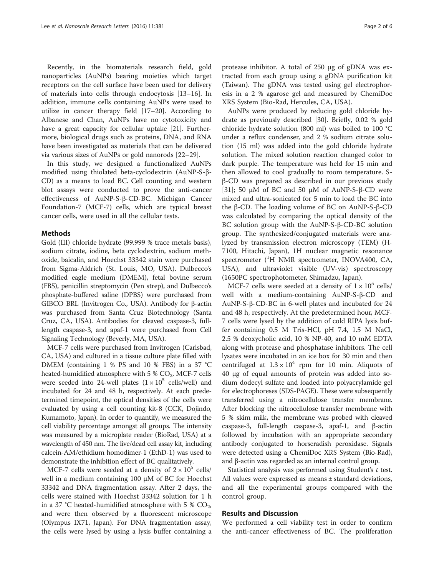Recently, in the biomaterials research field, gold nanoparticles (AuNPs) bearing moieties which target receptors on the cell surface have been used for delivery of materials into cells through endocytosis [\[13](#page-4-0)–[16\]](#page-4-0). In addition, immune cells containing AuNPs were used to utilize in cancer therapy field [\[17](#page-4-0)–[20\]](#page-4-0). According to Albanese and Chan, AuNPs have no cytotoxicity and have a great capacity for cellular uptake [[21\]](#page-4-0). Furthermore, biological drugs such as proteins, DNA, and RNA have been investigated as materials that can be delivered via various sizes of AuNPs or gold nanorods [\[22](#page-4-0)–[29\]](#page-5-0).

In this study, we designed a functionalized AuNPs modified using thiolated beta-cyclodextrin (AuNP-S-β-CD) as a means to load BC. Cell counting and western blot assays were conducted to prove the anti-cancer effectiveness of AuNP-S-β-CD-BC. Michigan Cancer Foundation-7 (MCF-7) cells, which are typical breast cancer cells, were used in all the cellular tests.

## Methods

Gold (III) chloride hydrate (99.999 % trace metals basis), sodium citrate, iodine, beta cyclodextrin, sodium methoxide, baicalin, and Hoechst 33342 stain were purchased from Sigma-Aldrich (St. Louis, MO, USA). Dulbecco's modified eagle medium (DMEM), fetal bovine serum (FBS), penicillin streptomycin (Pen strep), and Dulbecco's phosphate-buffered saline (DPBS) were purchased from GIBCO BRL (Invitrogen Co., USA). Antibody for β-actin was purchased from Santa Cruz Biotechnology (Santa Cruz, CA, USA). Antibodies for cleaved caspase-3, fulllength caspase-3, and apaf-1 were purchased from Cell Signaling Technology (Beverly, MA, USA).

MCF-7 cells were purchased from Invitrogen (Carlsbad, CA, USA) and cultured in a tissue culture plate filled with DMEM (containing 1 % PS and 10 % FBS) in a 37 °C heated-humidified atmosphere with 5 %  $CO<sub>2</sub>$ . MCF-7 cells were seeded into 24-well plates  $(1 \times 10^5 \text{ cells/well})$  and incubated for 24 and 48 h, respectively. At each predetermined timepoint, the optical densities of the cells were evaluated by using a cell counting kit-8 (CCK, Dojindo, Kumamoto, Japan). In order to quantify, we measured the cell viability percentage amongst all groups. The intensity was measured by a microplate reader (BioRad, USA) at a wavelength of 450 nm. The live/dead cell assay kit, including calcein-AM/ethidium homodimer-1 (EthD-1) was used to demonstrate the inhibition effect of BC qualitatively.

MCF-7 cells were seeded at a density of  $2 \times 10^5$  cells/ well in a medium containing 100 μM of BC for Hoechst 33342 and DNA fragmentation assay. After 2 days, the cells were stained with Hoechst 33342 solution for 1 h in a 37 °C heated-humidified atmosphere with 5 %  $CO<sub>2</sub>$ , and were then observed by a fluorescent microscope (Olympus IX71, Japan). For DNA fragmentation assay, the cells were lysed by using a lysis buffer containing a

protease inhibitor. A total of 250 μg of gDNA was extracted from each group using a gDNA purification kit (Taiwan). The gDNA was tested using gel electrophoresis in a 2 % agarose gel and measured by ChemiDoc XRS System (Bio-Rad, Hercules, CA, USA).

AuNPs were produced by reducing gold chloride hydrate as previously described [[30](#page-5-0)]. Briefly, 0.02 % gold chloride hydrate solution (800 ml) was boiled to 100 °C under a reflux condenser, and 2 % sodium citrate solution (15 ml) was added into the gold chloride hydrate solution. The mixed solution reaction changed color to dark purple. The temperature was held for 15 min and then allowed to cool gradually to room temperature. Sβ-CD was prepared as described in our previous study [[31\]](#page-5-0); 50 μM of BC and 50 μM of AuNP-S-β-CD were mixed and ultra-sonicated for 5 min to load the BC into the β-CD. The loading volume of BC on AuNP-S-β-CD was calculated by comparing the optical density of the BC solution group with the AuNP-S-β-CD-BC solution group. The synthesized/conjugated materials were analyzed by transmission electron microscopy (TEM) (H-7100, Hitachi, Japan), 1H nuclear magnetic resonance spectrometer (<sup>1</sup>H NMR spectrometer, INOVA400, CA, USA), and ultraviolet visible (UV-vis) spectroscopy (1650PC spectrophotometer, Shimadzu, Japan).

MCF-7 cells were seeded at a density of  $1 \times 10^5$  cells/ well with a medium-containing AuNP-S-β-CD and AuNP-S-β-CD-BC in 6-well plates and incubated for 24 and 48 h, respectively. At the predetermined hour, MCF-7 cells were lysed by the addition of cold RIPA lysis buffer containing 0.5 M Tris-HCl, pH 7.4, 1.5 M NaCl, 2.5 % deoxycholic acid, 10 % NP-40, and 10 mM EDTA along with protease and phosphatase inhibitors. The cell lysates were incubated in an ice box for 30 min and then centrifuged at  $1.3 \times 10^4$  rpm for 10 min. Aliquots of 40 μg of equal amounts of protein was added into sodium dodecyl sulfate and loaded into polyacrylamide gel for electrophoreses (SDS-PAGE). These were subsequently transferred using a nitrocellulose transfer membrane. After blocking the nitrocellulose transfer membrane with 5 % skim milk, the membrane was probed with cleaved caspase-3, full-length caspase-3, apaf-1, and β-actin followed by incubation with an appropriate secondary antibody conjugated to horseradish peroxidase. Signals were detected using a ChemiDoc XRS System (Bio-Rad), and β-actin was regarded as an internal control group.

Statistical analysis was performed using Student's t test. All values were expressed as means ± standard deviations, and all the experimental groups compared with the control group.

## Results and Discussion

We performed a cell viability test in order to confirm the anti-cancer effectiveness of BC. The proliferation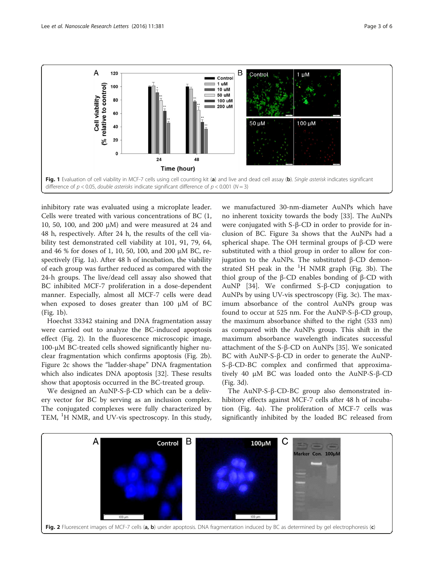

inhibitory rate was evaluated using a microplate leader. Cells were treated with various concentrations of BC (1, 10, 50, 100, and 200 μM) and were measured at 24 and 48 h, respectively. After 24 h, the results of the cell viability test demonstrated cell viability at 101, 91, 79, 64, and 46 % for doses of 1, 10, 50, 100, and 200 μM BC, respectively (Fig. 1a). After 48 h of incubation, the viability of each group was further reduced as compared with the 24-h groups. The live/dead cell assay also showed that BC inhibited MCF-7 proliferation in a dose-dependent manner. Especially, almost all MCF-7 cells were dead when exposed to doses greater than 100 μM of BC (Fig. 1b).

Hoechst 33342 staining and DNA fragmentation assay were carried out to analyze the BC-induced apoptosis effect (Fig. 2). In the fluorescence microscopic image, 100-μM BC-treated cells showed significantly higher nuclear fragmentation which confirms apoptosis (Fig. 2b). Figure 2c shows the "ladder-shape" DNA fragmentation which also indicates DNA apoptosis [\[32\]](#page-5-0). These results show that apoptosis occurred in the BC-treated group.

We designed an AuNP-S-β-CD which can be a delivery vector for BC by serving as an inclusion complex. The conjugated complexes were fully characterized by TEM, <sup>1</sup>H NMR, and UV-vis spectroscopy. In this study,

we manufactured 30-nm-diameter AuNPs which have no inherent toxicity towards the body [[33\]](#page-5-0). The AuNPs were conjugated with S-β-CD in order to provide for inclusion of BC. Figure [3](#page-3-0)a shows that the AuNPs had a spherical shape. The OH terminal groups of β-CD were substituted with a thiol group in order to allow for conjugation to the AuNPs. The substituted β-CD demonstrated SH peak in the  ${}^{1}$ H NMR graph (Fig. [3](#page-3-0)b). The thiol group of the β-CD enables bonding of β-CD with AuNP [[34\]](#page-5-0). We confirmed S-β-CD conjugation to AuNPs by using UV-vis spectroscopy (Fig. [3c](#page-3-0)). The maximum absorbance of the control AuNPs group was found to occur at 525 nm. For the AuNP-S-β-CD group, the maximum absorbance shifted to the right (533 nm) as compared with the AuNPs group. This shift in the maximum absorbance wavelength indicates successful attachment of the S-β-CD on AuNPs [\[35](#page-5-0)]. We sonicated BC with AuNP-S-β-CD in order to generate the AuNP-S-β-CD-BC complex and confirmed that approximatively 40 μM BC was loaded onto the AuNP-S-β-CD (Fig. [3](#page-3-0)d).

The AuNP-S-β-CD-BC group also demonstrated inhibitory effects against MCF-7 cells after 48 h of incubation (Fig. [4a](#page-3-0)). The proliferation of MCF-7 cells was significantly inhibited by the loaded BC released from

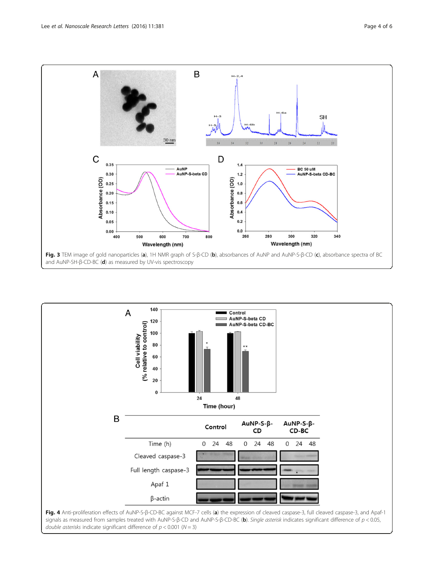<span id="page-3-0"></span>

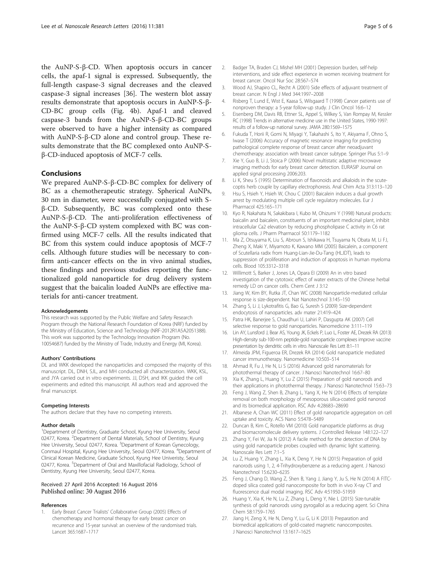<span id="page-4-0"></span>the AuNP-S-β-CD. When apoptosis occurs in cancer cells, the apaf-1 signal is expressed. Subsequently, the full-length caspase-3 signal decreases and the cleaved caspase-3 signal increases [[36\]](#page-5-0). The western blot assay results demonstrate that apoptosis occurs in AuNP-S-β-CD-BC group cells (Fig. [4](#page-3-0)b). Apaf-1 and cleaved caspase-3 bands from the AuNP-S-β-CD-BC groups were observed to have a higher intensity as compared with AuNP-S-β-CD alone and control group. These results demonstrate that the BC complexed onto AuNP-Sβ-CD-induced apoptosis of MCF-7 cells.

## Conclusions

We prepared AuNP-S-β-CD-BC complex for delivery of BC as a chemotherapeutic strategy. Spherical AuNPs, 30 nm in diameter, were successfully conjugated with Sβ-CD. Subsequently, BC was complexed onto these AuNP-S-β-CD. The anti-proliferation effectiveness of the AuNP-S-β-CD system complexed with BC was confirmed using MCF-7 cells. All the results indicated that BC from this system could induce apoptosis of MCF-7 cells. Although future studies will be necessary to confirm anti-cancer effects on the in vivo animal studies, these findings and previous studies reporting the functionalized gold nanoparticle for drug delivery system suggest that the baicalin loaded AuNPs are effective materials for anti-cancer treatment.

#### Acknowledgements

This research was supported by the Public Welfare and Safety Research Program through the National Research Foundation of Korea (NRF) funded by the Ministry of Education, Science and Technology (NRF-2012R1A5A2051388). This work was supported by the Technology Innovation Program (No. 10054687) funded by the Ministry of Trade, Industry and Energy (MI, Korea).

#### Authors' Contributions

DL and WKK developed the nanoparticles and composed the majority of this manuscript. DL, DNH, SJL, and MH conducted all characterization. WKK, KSL, and JYA carried out in vitro experiments. JJ, DSH, and IKK guided the cell experiments and edited this manuscript. All authors read and approved the final manuscript.

#### Competing Interests

The authors declare that they have no competing interests.

#### Author details

<sup>1</sup>Department of Dentistry, Graduate School, Kyung Hee University, Seoul 02477, Korea. <sup>2</sup>Department of Dental Materials, School of Dentistry, Kyung Hee University, Seoul 02477, Korea. <sup>3</sup>Department of Korean Gynecology, Conmaul Hospital, Kyung Hee University, Seoul 02477, Korea. <sup>4</sup>Department of Clinical Korean Medicine, Graduate School, Kyung Hee Univeristy, Seoul 02477, Korea. <sup>5</sup>Department of Oral and Maxillofacial Radiology, School of Dentistry, Kyung Hee University, Seoul 02477, Korea.

### Received: 27 April 2016 Accepted: 16 August 2016 Published online: 30 August 2016

#### References

1. Early Breast Cancer Trialists' Collaborative Group (2005) Effects of chemotherapy and hormonal therapy for early breast cancer on recurrence and 15-year survival: an overview of the randomised trials. Lancet 365:1687–1717

- 2. Badger TA, Braden CJ, Mishel MH (2001) Depression burden, self-help interventions, and side effect experience in women receiving treatment for breast cancer. Oncol Nur Soc 28:567–574
- 3. Wood AJ, Shapiro CL, Recht A (2001) Side effects of adjuvant treatment of breast cancer. N Engl J Med 344:1997–2008
- 4. Risberg T, Lund E, Wist E, Kaasa S, Wilsgaard T (1998) Cancer patients use of nonproven therapy: a 5-year follow-up study. J Clin Oncol 16:6–12
- 5. Eisenberg DM, Davis RB, Ettner SL, Appel S, Wilkey S, Van Rompay M, Kessler RC (1998) Trends in alternative medicine use in the United States, 1990-1997: results of a follow-up national survey. JAMA 280:1569–1575
- 6. Fukuda T, Horii R, Gomi N, Miyagi Y, Takahashi S, Ito Y, Akiyama F, Ohno S, Iwase T (2006) Accuracy of magnetic resonance imaging for predicting pathological complete response of breast cancer after neoadjuvant chemotherapy: association with breast cancer subtype. Springer Plus 5:1–9
- 7. Xie Y, Guo B, Li J, Stoica P (2006) Novel multistatic adaptive microwave imaging methods for early breast cancer detection. EURASIP Journal on applied signal processing 2006:203.
- Li K, Sheu S (1995) Determination of flavonoids and alkaloids in the scutecoptis herb couple by capillary electrophoresis. Anal Chim Acta 313:113–120
- 9. Hsu S, Hsieh Y, Hsieh W, Chou C (2001) Baicalein induces a dual growth arrest by modulating multiple cell cycle regulatory molecules. Eur J Pharmacol 425:165–171
- 10. Kyo R, Nakahata N, Sakakibara I, Kubo M, Ohizumi Y (1998) Natural products: baicalin and baicalein, constituents of an important medicinal plant, inhibit intracellular Ca2 elevation by reducing phospholipase C activity in C6 rat glioma cells. J Pharm Pharmacol 50:1179–1182
- 11. Ma Z, Otsuyama K, Liu S, Abroun S, Ishikawa H, Tsuyama N, Obata M, Li FJ, Zheng X, Maki Y, Miyamoto K, Kawano MM (2005) Baicalein, a component of Scutellaria radix from Huang-Lian-Jie-Du-Tang (HLJDT), leads to suppression of proliferation and induction of apoptosis in human myeloma cells. Blood 105:3312–3318
- 12. Willimott S, Barker J, Jones LA, Opara EI (2009) An in vitro based investigation of the cytotoxic effect of water extracts of the Chinese herbal remedy LD on cancer cells. Chem Cent J 3:12
- 13. Jiang W, Kim BY, Rutka JT, Chan WC (2008) Nanoparticle-mediated cellular response is size-dependent. Nat Nanotechnol 3:145–150
- 14. Zhang S, Li J, Lykotrafitis G, Bao G, Suresh S (2009) Size-dependent endocytosis of nanoparticles. adv mater 21:419–424
- 15. Patra HK, Banerjee S, Chaudhuri U, Lahiri P, Dasgupta AK (2007) Cell selective response to gold nanoparticles. Nanomedicine 3:111–119
- 16. Lin AY, Lunsford J, Bear AS, Young JK, Eckels P, Luo L, Foster AE, Drezek RA (2013) High-density sub-100-nm peptide-gold nanoparticle complexes improve vaccine presentation by dendritic cells in vitro. Nanoscale Res Lett 8:1–11
- 17. Almeida JPM, Figueroa ER, Drezek RA (2014) Gold nanoparticle mediated cancer immunotherapy. Nanomedicine 10:503–514
- 18. Ahmad R, Fu J, He N, Li S (2016) Advanced gold nanomaterials for photothermal therapy of cancer. J Nanosci Nanotechnol 16:67–80
- 19. Xia K, Zhang L, Huang Y, Lu Z (2015) Preparation of gold nanorods and their applications in photothermal therapy. J Nanosci Nanotechnol 15:63–73
- 20. Feng J, Wang Z, Shen B, Zhang L, Yang X, He N (2014) Effects of template removal on both morphology of mesoporous silica-coated gold nanorod and its biomedical application. RSC Adv 4:28683–28690
- 21. Albanese A, Chan WC (2011) Effect of gold nanoparticle aggregation on cell uptake and toxicity. ACS Nano 5:5478–5489
- 22. Duncan B, Kim C, Rotello VM (2010) Gold nanoparticle platforms as drug and biomacromolecule delivery systems. J Controlled Release 148:122–127
- 23. Zhang Y, Fei W, Jia N (2012) A facile method for the detection of DNA by using gold nanoparticle probes coupled with dynamic light scattering. Nanoscale Res Lett 7:1–5
- 24. Lu Z, Huang Y, Zhang L, Xia K, Deng Y, He N (2015) Preparation of gold nanorods using 1, 2, 4-Trihydroxybenzene as a reducing agent. J Nanosci Nanotechnol 15:6230–6235
- 25. Feng J, Chang D, Wang Z, Shen B, Yang J, Jiang Y, Ju S, He N (2014) A FITCdoped silica coated gold nanocomposite for both in vivo X-ray CT and fluorescence dual modal imaging. RSC Adv 4:51950–51959
- 26. Huang Y, Xia K, He N, Lu Z, Zhang L, Deng Y, Nie L (2015) Size-tunable synthesis of gold nanorods using pyrogallol as a reducing agent. Sci China Chem 58:1759–1765
- 27. Jiang H, Zeng X, He N, Deng Y, Lu G, Li K (2013) Preparation and biomedical applications of gold-coated magnetic nanocomposites. J Nanosci Nanotechnol 13:1617–1625